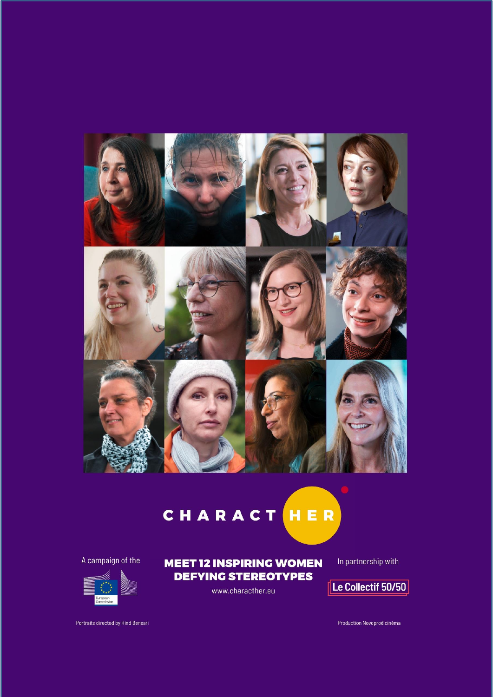

# CHARACTHER

A campaign of the



**MEET 12 INSPIRING WOMEN DEFYING STEREOTYPES** 

www.characther.eu

In partnership with

Le Collectif 50/50

Portraits directed by Hind Bensari

Production Novoprod cinéma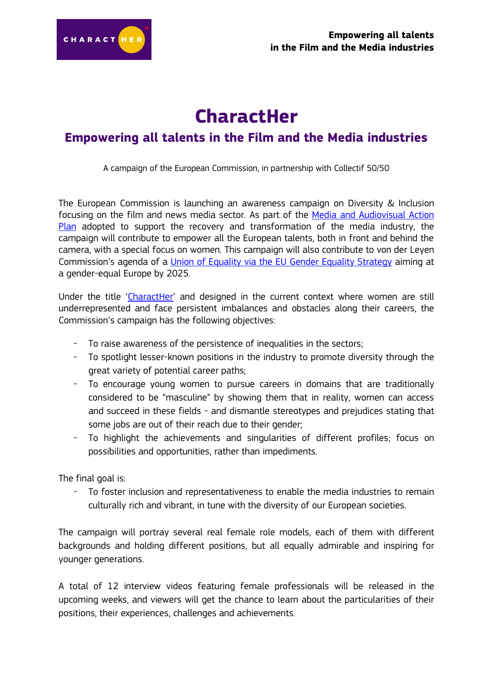

## **CharactHer**

## **Empowering all talents in the Film and the Media industries**

A campaign of the European Commission, in partnership with Collectif 50/50

The European Commission is launching an awareness campaign on Diversity & Inclusion focusing on the film and news media sector. As part of the [Media and Audiovisual Action](https://ec.europa.eu/commission/presscorner/detail/en/IP_20_2239)  [Plan](https://ec.europa.eu/commission/presscorner/detail/en/IP_20_2239) adopted to support the recovery and transformation of the media industry, the campaign will contribute to empower all the European talents, both in front and behind the camera, with a special focus on women. This campaign will also contribute to von der Leyen Commission's agenda of a [Union of Equality via the EU Gender Equality Strategy](https://eur-lex.europa.eu/legal-content/EN/TXT/?uri=CELEX%3A52020DC0152) aiming at a gender-equal Europe by 2025.

Under the title '[CharactHer](https://characther.eu/)' and designed in the current context where women are still underrepresented and face persistent imbalances and obstacles along their careers, the Commission's campaign has the following objectives:

- To raise awareness of the persistence of inequalities in the sectors;
- To spotlight lesser-known positions in the industry to promote diversity through the great variety of potential career paths;
- To encourage young women to pursue careers in domains that are traditionally considered to be "masculine" by showing them that in reality, women can access and succeed in these fields - and dismantle stereotypes and prejudices stating that some jobs are out of their reach due to their gender;
- To highlight the achievements and singularities of different profiles; focus on possibilities and opportunities, rather than impediments.

The final goal is:

To foster inclusion and representativeness to enable the media industries to remain culturally rich and vibrant, in tune with the diversity of our European societies.

The campaign will portray several real female role models, each of them with different backgrounds and holding different positions, but all equally admirable and inspiring for younger generations.

A total of 12 interview videos featuring female professionals will be released in the upcoming weeks, and viewers will get the chance to learn about the particularities of their positions, their experiences, challenges and achievements.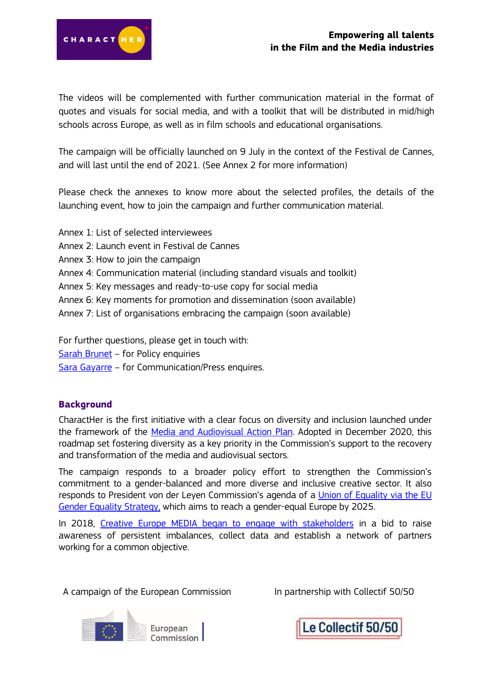

The videos will be complemented with further communication material in the format of quotes and visuals for social media, and with a toolkit that will be distributed in mid/high schools across Europe, as well as in film schools and educational organisations.

The campaign will be officially launched on 9 July in the context of the Festival de Cannes, and will last until the end of 2021. (See Annex 2 for more information)

Please check the annexes to know more about the selected profiles, the details of the launching event, how to join the campaign and further communication material.

- Annex 1: List of selected interviewees
- Annex 2: Launch event in Festival de Cannes
- Annex 3: How to join the campaign
- Annex 4: Communication material (including standard visuals and toolkit)
- Annex 5: Key messages and ready-to-use copy for social media
- Annex 6: Key moments for promotion and dissemination (soon available)
- Annex 7: List of organisations embracing the campaign (soon available)

For further questions, please get in touch with:

[Sarah Brunet](mailto:Sarah.BRUNET@ec.europa.eu) – for Policy enquiries

[Sara Gayarre](mailto:Sara.GAYARRE-LETE@ec.europa.eu) – for Communication/Press enquires.

#### **Background**

CharactHer is the first initiative with a clear focus on diversity and inclusion launched under the framework of the [Media and Audiovisual Action Plan.](https://ec.europa.eu/commission/presscorner/detail/en/IP_20_2239) Adopted in December 2020, this roadmap set fostering diversity as a key priority in the Commission's support to the recovery and transformation of the media and audiovisual sectors.

The campaign responds to a broader policy effort to strengthen the Commission's commitment to a gender-balanced and more diverse and inclusive creative sector. It also responds to President von der Leyen Commission's agenda of a [Union of Equality via the EU](https://eur-lex.europa.eu/legal-content/EN/TXT/?uri=CELEX%3A52020DC0152)  [Gender Equality Strategy,](https://eur-lex.europa.eu/legal-content/EN/TXT/?uri=CELEX%3A52020DC0152) which aims to reach a gender-equal Europe by 2025.

In 2018, [Creative Europe MEDIA began to engage with stakeholders](https://digital-strategy.ec.europa.eu/en/news/gender-balance-diversity-and-inclusiveness-media-and-audiovisual-sectors) in a bid to raise awareness of persistent imbalances, collect data and establish a network of partners working for a common objective.

A campaign of the European Commission In partnership with Collectif 50/50



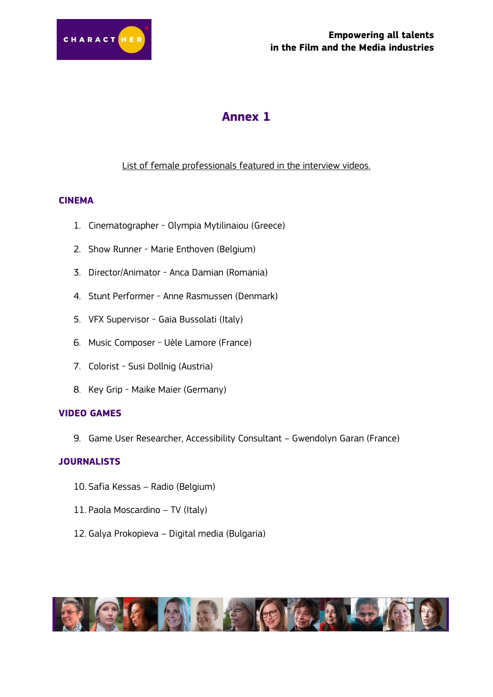

### **Annex 1**

#### List of female professionals featured in the interview videos.

#### **CINEMA**

- 1. Cinematographer Olympia Mytilinaiou (Greece)
- 2. Show Runner Marie Enthoven (Belgium)
- 3. Director/Animator Anca Damian (Romania)
- 4. Stunt Performer Anne Rasmussen (Denmark)
- 5. VFX Supervisor Gaia Bussolati (Italy)
- 6. Music Composer Uèle Lamore (France)
- 7. Colorist Susi Dollnig (Austria)
- 8. Key Grip Maike Maier (Germany)

#### **VIDEO GAMES**

9. Game User Researcher, Accessibility Consultant – Gwendolyn Garan (France)

#### **JOURNALISTS**

- 10. Safia Kessas Radio (Belgium)
- 11. Paola Moscardino TV (Italy)
- 12. Galya Prokopieva Digital media (Bulgaria)

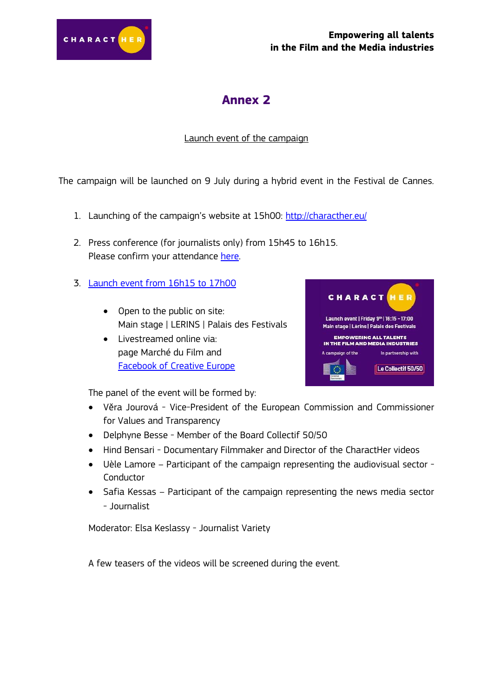

#### **Empowering all talents in the Film and the Media industries**

## **Annex 2**

#### Launch event of the campaign

The campaign will be launched on 9 July during a hybrid event in the Festival de Cannes.

- 1. Launching of the campaign's website at 15h00: <http://characther.eu/>
- 2. Press conference (for journalists only) from 15h45 to 16h15. Please confirm your attendance [here.](https://docs.google.com/forms/d/e/1FAIpQLScUSwgc1GDRW5zz7LgbcsRbGVv6V9oOmdV80RRmyWnn35EQmA/viewform?usp=sf_link)
- 3. [Launch event from 16h15 to 17h00](https://digital-strategy.ec.europa.eu/en/events/launch-event-characther-campaign)
	- Open to the public on site: Main stage | LERINS | Palais des Festivals
	- Livestreamed online via: page Marché du Film and [Facebook of Creative Europe](https://www.facebook.com/CreativeEuropeEU)



The panel of the event will be formed by:

- Věra Jourová Vice-President of the European Commission and Commissioner for Values and Transparency
- Delphyne Besse Member of the Board Collectif 50/50
- Hind Bensari Documentary Filmmaker and Director of the CharactHer videos
- Uèle Lamore Participant of the campaign representing the audiovisual sector **Conductor**
- Safia Kessas Participant of the campaign representing the news media sector - Journalist

Moderator: Elsa Keslassy - Journalist Variety

A few teasers of the videos will be screened during the event.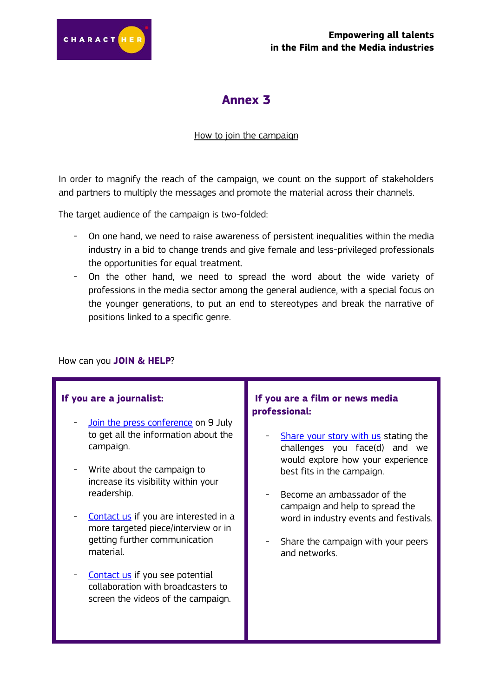

## **Annex 3**

#### How to join the campaign

In order to magnify the reach of the campaign, we count on the support of stakeholders and partners to multiply the messages and promote the material across their channels.

The target audience of the campaign is two-folded:

- On one hand, we need to raise awareness of persistent inequalities within the media industry in a bid to change trends and give female and less-privileged professionals the opportunities for equal treatment.
- On the other hand, we need to spread the word about the wide variety of professions in the media sector among the general audience, with a special focus on the younger generations, to put an end to stereotypes and break the narrative of positions linked to a specific genre.

#### How can you **JOIN & HELP**?

#### **If you are a journalist:**

- [Join the press conference](https://docs.google.com/forms/d/e/1FAIpQLScUSwgc1GDRW5zz7LgbcsRbGVv6V9oOmdV80RRmyWnn35EQmA/viewform?usp=sf_link) on 9 July to get all the information about the campaign.
- Write about the campaign to increase its visibility within your readership.
- [Contact us](mailto:Sarah.BRUNET@ec.europa.eu) if you are interested in a more targeted piece/interview or in getting further communication material.
- [Contact us](mailto:Sarah.BRUNET@ec.europa.eu) if you see potential collaboration with broadcasters to screen the videos of the campaign.

#### **If you are a film or news media professional:**

- [Share your story with us](mailto:Sarah.BRUNET@ec.europa.eu) stating the challenges you face(d) and we would explore how your experience best fits in the campaign.
- Become an ambassador of the campaign and help to spread the word in industry events and festivals.
- Share the campaign with your peers and networks.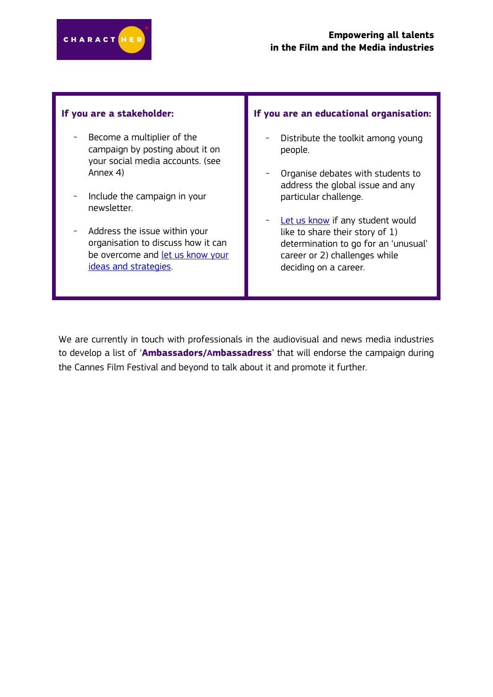

#### **If you are a stakeholder:**

- Become a multiplier of the campaign by posting about it on your social media accounts. (see Annex 4)
- Include the campaign in your newsletter.
- Address the issue within your organisation to discuss how it can be overcome and let us know your [ideas and strategies.](mailto:Sarah.BRUNET@ec.europa.eu)

#### **If you are an educational organisation:**

- Distribute the toolkit among young people.
- Organise debates with students to address the global issue and any particular challenge.
- [Let us know](mailto:Sarah.BRUNET@ec.europa.eu) if any student would like to share their story of 1) determination to go for an 'unusual' career or 2) challenges while deciding on a career.

We are currently in touch with professionals in the audiovisual and news media industries to develop a list of '**Ambassadors/Ambassadress**' that will endorse the campaign during the Cannes Film Festival and beyond to talk about it and promote it further.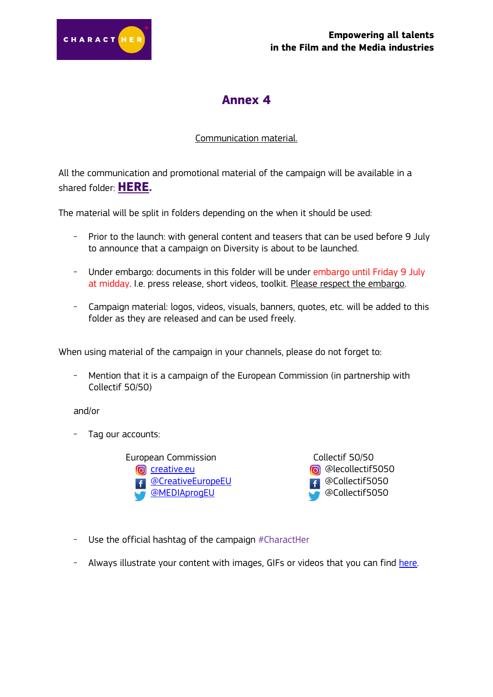

## **Annex 4**

#### Communication material.

All the communication and promotional material of the campaign will be available in a shared folder: **[HERE.](https://drive.google.com/drive/folders/1jD-qbx8jskabm-cSjTrL4A90E2Lxi-kY?usp=sharing)**

The material will be split in folders depending on the when it should be used:

- Prior to the launch: with general content and teasers that can be used before 9 July to announce that a campaign on Diversity is about to be launched.
- Under embargo: documents in this folder will be under embargo until Friday 9 July at midday. I.e. press release, short videos, toolkit. Please respect the embargo.
- Campaign material: logos, videos, visuals, banners, quotes, etc. will be added to this folder as they are released and can be used freely.

When using material of the campaign in your channels, please do not forget to:

- Mention that it is a campaign of the European Commission (in partnership with Collectif 50/50)

and/or

- Tag our accounts:

European Commission Collectif 50/50 [creative.eu](https://www.instagram.com/creative.eu/) **4 [@CreativeEuropeEU](https://www.facebook.com/CreativeEuropeEU)** [@MEDIAprogEU](https://twitter.com/MEDIAprogEU)

**a** @lecollectif5050 **B** @Collectif5050 @Collectif5050

- Use the official hashtag of the campaign #CharactHer
- Always illustrate your content with images, GIFs or videos that you can find [here.](https://drive.google.com/drive/folders/1jD-qbx8jskabm-cSjTrL4A90E2Lxi-kY?usp=sharing)